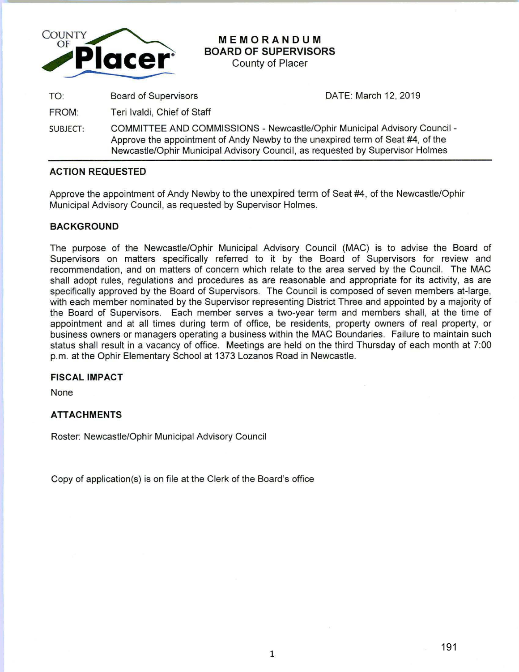

# **MEMORANDUM BOARD OF SUPERVISORS**

County of Placer

TO: Board of Supervisors

DATE: March 12, 2019

FROM: Teri lvaldi, Chief of Staff

SUBJECT: COMMITTEE AND COMMISSIONS - Newcastle/Ophir Municipal Advisory Council - Approve the appointment of Andy Newby to the unexpired term of Seat #4, of the Newcastle/Ophir Municipal Advisory Council, as requested by Supervisor Holmes

### **ACTION REQUESTED**

Approve the appointment of Andy Newby to the unexpired term of Seat #4, of the Newcastle/Ophir Municipal Advisory Council, as requested by Supervisor Holmes.

### **BACKGROUND**

The purpose of the Newcastle/Ophir Municipal Advisory Council (MAC) is to advise the Board of Supervisors on matters specifically referred to it by the Board of Supervisors for review and recommendation, and on matters of concern which relate to the area served by the Council. The MAC shall adopt rules, regulations and procedures as are reasonable and appropriate for its activity, as are specifically approved by the Board of Supervisors. The Council is composed of seven members at-large, with each member nominated by the Supervisor representing District Three and appointed by a majority of the Board of Supervisors. Each member serves a two-year term and members shall, at the time of appointment and at all times during term of office, be residents, property owners of real property, or business owners or managers operating a business within the MAC Boundaries. Failure to maintain such status shall result in a vacancy of office. Meetings are held on the third Thursday of each month at 7:00 p.m. at the Ophir Elementary School at 1373 Lozanos Road in Newcastle.

### **FISCAL IMPACT**

None

### **ATTACHMENTS**

Roster: Newcastle/Ophir Municipal Advisory Council

Copy of application(s) is on file at the Clerk of the Board's office